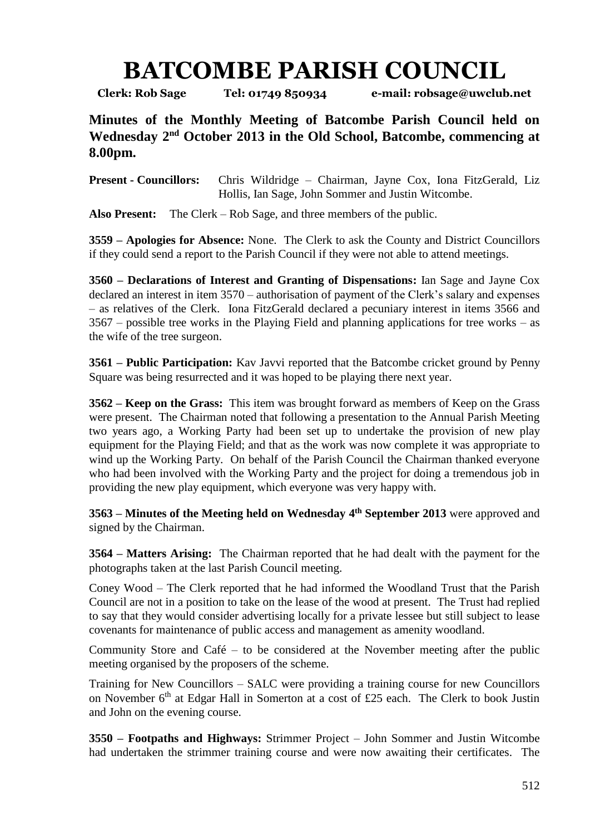## **BATCOMBE PARISH COUNCIL**

**Clerk: Rob Sage Tel: 01749 850934 e-mail: robsage@uwclub.net**

**Minutes of the Monthly Meeting of Batcombe Parish Council held on**  Wednesday 2<sup>nd</sup> October 2013 in the Old School, Batcombe, commencing at **8.00pm.**

**Present - Councillors:** Chris Wildridge – Chairman, Jayne Cox, Iona FitzGerald, Liz Hollis, Ian Sage, John Sommer and Justin Witcombe.

**Also Present:** The Clerk – Rob Sage, and three members of the public.

**3559 – Apologies for Absence:** None. The Clerk to ask the County and District Councillors if they could send a report to the Parish Council if they were not able to attend meetings.

**3560 – Declarations of Interest and Granting of Dispensations:** Ian Sage and Jayne Cox declared an interest in item 3570 – authorisation of payment of the Clerk's salary and expenses – as relatives of the Clerk. Iona FitzGerald declared a pecuniary interest in items 3566 and 3567 – possible tree works in the Playing Field and planning applications for tree works – as the wife of the tree surgeon.

**3561 – Public Participation:** Kav Javvi reported that the Batcombe cricket ground by Penny Square was being resurrected and it was hoped to be playing there next year.

**3562 – Keep on the Grass:** This item was brought forward as members of Keep on the Grass were present. The Chairman noted that following a presentation to the Annual Parish Meeting two years ago, a Working Party had been set up to undertake the provision of new play equipment for the Playing Field; and that as the work was now complete it was appropriate to wind up the Working Party. On behalf of the Parish Council the Chairman thanked everyone who had been involved with the Working Party and the project for doing a tremendous job in providing the new play equipment, which everyone was very happy with.

**3563 – Minutes of the Meeting held on Wednesday 4 th September 2013** were approved and signed by the Chairman.

**3564 – Matters Arising:** The Chairman reported that he had dealt with the payment for the photographs taken at the last Parish Council meeting.

Coney Wood – The Clerk reported that he had informed the Woodland Trust that the Parish Council are not in a position to take on the lease of the wood at present. The Trust had replied to say that they would consider advertising locally for a private lessee but still subject to lease covenants for maintenance of public access and management as amenity woodland.

Community Store and Café – to be considered at the November meeting after the public meeting organised by the proposers of the scheme.

Training for New Councillors – SALC were providing a training course for new Councillors on November  $6<sup>th</sup>$  at Edgar Hall in Somerton at a cost of £25 each. The Clerk to book Justin and John on the evening course.

**3550 – Footpaths and Highways:** Strimmer Project – John Sommer and Justin Witcombe had undertaken the strimmer training course and were now awaiting their certificates. The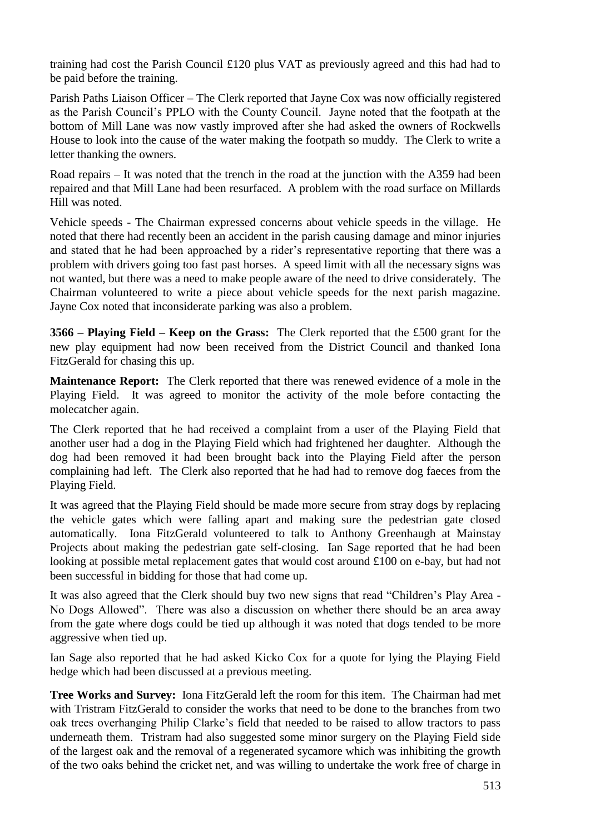training had cost the Parish Council £120 plus VAT as previously agreed and this had had to be paid before the training.

Parish Paths Liaison Officer – The Clerk reported that Jayne Cox was now officially registered as the Parish Council's PPLO with the County Council. Jayne noted that the footpath at the bottom of Mill Lane was now vastly improved after she had asked the owners of Rockwells House to look into the cause of the water making the footpath so muddy. The Clerk to write a letter thanking the owners.

Road repairs – It was noted that the trench in the road at the junction with the A359 had been repaired and that Mill Lane had been resurfaced. A problem with the road surface on Millards Hill was noted.

Vehicle speeds - The Chairman expressed concerns about vehicle speeds in the village. He noted that there had recently been an accident in the parish causing damage and minor injuries and stated that he had been approached by a rider's representative reporting that there was a problem with drivers going too fast past horses. A speed limit with all the necessary signs was not wanted, but there was a need to make people aware of the need to drive considerately. The Chairman volunteered to write a piece about vehicle speeds for the next parish magazine. Jayne Cox noted that inconsiderate parking was also a problem.

**3566 – Playing Field – Keep on the Grass:** The Clerk reported that the £500 grant for the new play equipment had now been received from the District Council and thanked Iona FitzGerald for chasing this up.

**Maintenance Report:** The Clerk reported that there was renewed evidence of a mole in the Playing Field. It was agreed to monitor the activity of the mole before contacting the molecatcher again.

The Clerk reported that he had received a complaint from a user of the Playing Field that another user had a dog in the Playing Field which had frightened her daughter. Although the dog had been removed it had been brought back into the Playing Field after the person complaining had left. The Clerk also reported that he had had to remove dog faeces from the Playing Field.

It was agreed that the Playing Field should be made more secure from stray dogs by replacing the vehicle gates which were falling apart and making sure the pedestrian gate closed automatically. Iona FitzGerald volunteered to talk to Anthony Greenhaugh at Mainstay Projects about making the pedestrian gate self-closing. Ian Sage reported that he had been looking at possible metal replacement gates that would cost around £100 on e-bay, but had not been successful in bidding for those that had come up.

It was also agreed that the Clerk should buy two new signs that read "Children's Play Area - No Dogs Allowed". There was also a discussion on whether there should be an area away from the gate where dogs could be tied up although it was noted that dogs tended to be more aggressive when tied up.

Ian Sage also reported that he had asked Kicko Cox for a quote for lying the Playing Field hedge which had been discussed at a previous meeting.

**Tree Works and Survey:** Iona FitzGerald left the room for this item.The Chairman had met with Tristram FitzGerald to consider the works that need to be done to the branches from two oak trees overhanging Philip Clarke's field that needed to be raised to allow tractors to pass underneath them. Tristram had also suggested some minor surgery on the Playing Field side of the largest oak and the removal of a regenerated sycamore which was inhibiting the growth of the two oaks behind the cricket net, and was willing to undertake the work free of charge in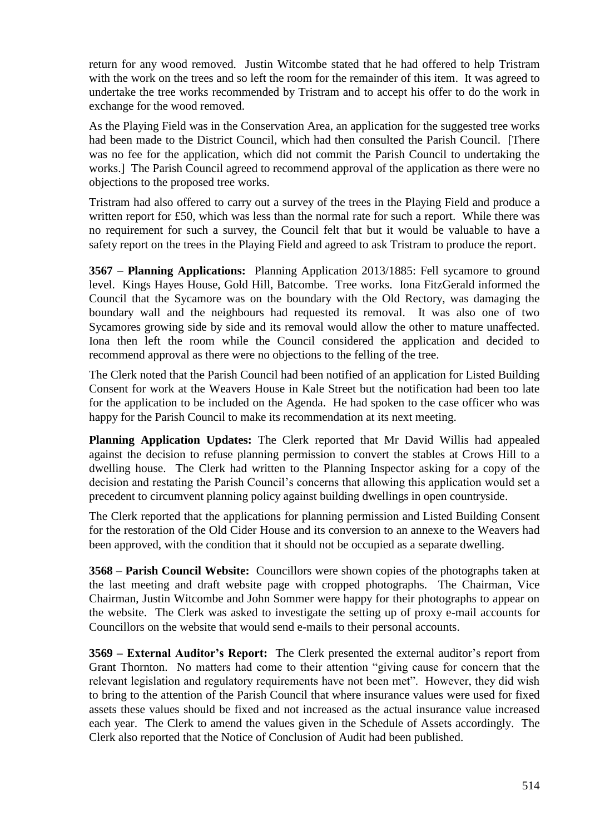return for any wood removed. Justin Witcombe stated that he had offered to help Tristram with the work on the trees and so left the room for the remainder of this item. It was agreed to undertake the tree works recommended by Tristram and to accept his offer to do the work in exchange for the wood removed.

As the Playing Field was in the Conservation Area, an application for the suggested tree works had been made to the District Council, which had then consulted the Parish Council. [There was no fee for the application, which did not commit the Parish Council to undertaking the works.] The Parish Council agreed to recommend approval of the application as there were no objections to the proposed tree works.

Tristram had also offered to carry out a survey of the trees in the Playing Field and produce a written report for £50, which was less than the normal rate for such a report. While there was no requirement for such a survey, the Council felt that but it would be valuable to have a safety report on the trees in the Playing Field and agreed to ask Tristram to produce the report.

**3567 – Planning Applications:** Planning Application 2013/1885: Fell sycamore to ground level. Kings Hayes House, Gold Hill, Batcombe. Tree works. Iona FitzGerald informed the Council that the Sycamore was on the boundary with the Old Rectory, was damaging the boundary wall and the neighbours had requested its removal. It was also one of two Sycamores growing side by side and its removal would allow the other to mature unaffected. Iona then left the room while the Council considered the application and decided to recommend approval as there were no objections to the felling of the tree.

The Clerk noted that the Parish Council had been notified of an application for Listed Building Consent for work at the Weavers House in Kale Street but the notification had been too late for the application to be included on the Agenda. He had spoken to the case officer who was happy for the Parish Council to make its recommendation at its next meeting.

**Planning Application Updates:** The Clerk reported that Mr David Willis had appealed against the decision to refuse planning permission to convert the stables at Crows Hill to a dwelling house. The Clerk had written to the Planning Inspector asking for a copy of the decision and restating the Parish Council's concerns that allowing this application would set a precedent to circumvent planning policy against building dwellings in open countryside.

The Clerk reported that the applications for planning permission and Listed Building Consent for the restoration of the Old Cider House and its conversion to an annexe to the Weavers had been approved, with the condition that it should not be occupied as a separate dwelling.

**3568 – Parish Council Website:** Councillors were shown copies of the photographs taken at the last meeting and draft website page with cropped photographs. The Chairman, Vice Chairman, Justin Witcombe and John Sommer were happy for their photographs to appear on the website. The Clerk was asked to investigate the setting up of proxy e-mail accounts for Councillors on the website that would send e-mails to their personal accounts.

**3569 – External Auditor's Report:** The Clerk presented the external auditor's report from Grant Thornton. No matters had come to their attention "giving cause for concern that the relevant legislation and regulatory requirements have not been met". However, they did wish to bring to the attention of the Parish Council that where insurance values were used for fixed assets these values should be fixed and not increased as the actual insurance value increased each year. The Clerk to amend the values given in the Schedule of Assets accordingly. The Clerk also reported that the Notice of Conclusion of Audit had been published.